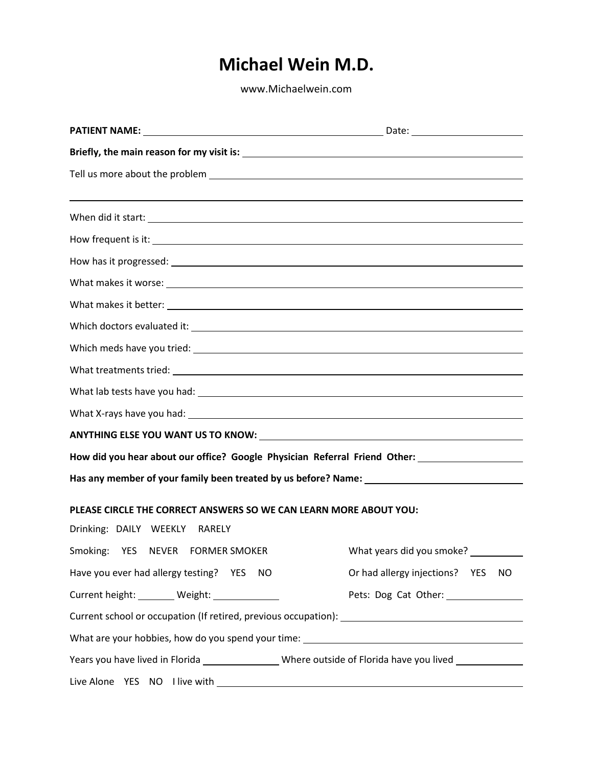[www.Michaelwein.com](http://www.michaelwein.com/)

| ,我们也不会有什么?""我们的人,我们也不会有什么?""我们的人,我们也不会有什么?""我们的人,我们也不会有什么?""我们的人,我们也不会有什么?""我们的人                          |                                       |  |  |  |  |
|-----------------------------------------------------------------------------------------------------------|---------------------------------------|--|--|--|--|
| When did it start: When did it start:                                                                     |                                       |  |  |  |  |
|                                                                                                           |                                       |  |  |  |  |
|                                                                                                           |                                       |  |  |  |  |
|                                                                                                           |                                       |  |  |  |  |
|                                                                                                           |                                       |  |  |  |  |
|                                                                                                           |                                       |  |  |  |  |
|                                                                                                           |                                       |  |  |  |  |
|                                                                                                           |                                       |  |  |  |  |
|                                                                                                           |                                       |  |  |  |  |
|                                                                                                           |                                       |  |  |  |  |
|                                                                                                           |                                       |  |  |  |  |
| How did you hear about our office? Google Physician Referral Friend Other: ________________________       |                                       |  |  |  |  |
|                                                                                                           |                                       |  |  |  |  |
| PLEASE CIRCLE THE CORRECT ANSWERS SO WE CAN LEARN MORE ABOUT YOU:                                         |                                       |  |  |  |  |
| Drinking: DAILY WEEKLY RARELY                                                                             |                                       |  |  |  |  |
| Smoking: YES NEVER FORMER SMOKER                                                                          | What years did you smoke? __________  |  |  |  |  |
| Have you ever had allergy testing? YES<br>NO                                                              | Or had allergy injections? YES<br>NO. |  |  |  |  |
| Current height: _______ Weight: ____________                                                              | Pets: Dog Cat Other: _______________  |  |  |  |  |
|                                                                                                           |                                       |  |  |  |  |
|                                                                                                           |                                       |  |  |  |  |
| Years you have lived in Florida __________________Where outside of Florida have you lived _______________ |                                       |  |  |  |  |
|                                                                                                           |                                       |  |  |  |  |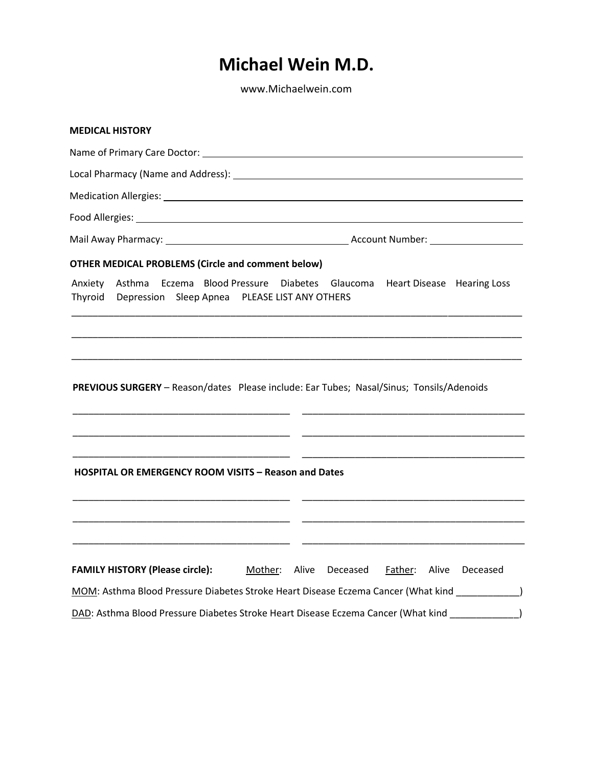[www.Michaelwein.com](http://www.michaelwein.com/)

| <b>MEDICAL HISTORY</b>                                      |                                                                                                                                                     |
|-------------------------------------------------------------|-----------------------------------------------------------------------------------------------------------------------------------------------------|
|                                                             |                                                                                                                                                     |
|                                                             |                                                                                                                                                     |
|                                                             |                                                                                                                                                     |
|                                                             |                                                                                                                                                     |
|                                                             |                                                                                                                                                     |
| <b>OTHER MEDICAL PROBLEMS (Circle and comment below)</b>    |                                                                                                                                                     |
| Thyroid<br>Depression Sleep Apnea PLEASE LIST ANY OTHERS    | Anxiety Asthma Eczema Blood Pressure Diabetes Glaucoma Heart Disease Hearing Loss                                                                   |
|                                                             | PREVIOUS SURGERY - Reason/dates Please include: Ear Tubes; Nasal/Sinus; Tonsils/Adenoids                                                            |
| <b>HOSPITAL OR EMERGENCY ROOM VISITS - Reason and Dates</b> |                                                                                                                                                     |
| <b>FAMILY HISTORY (Please circle):</b>                      | Mother: Alive Deceased<br>Father: Alive Deceased<br>MOM: Asthma Blood Pressure Diabetes Stroke Heart Disease Eczema Cancer (What kind ____________) |
|                                                             | DAD: Asthma Blood Pressure Diabetes Stroke Heart Disease Eczema Cancer (What kind _______________)                                                  |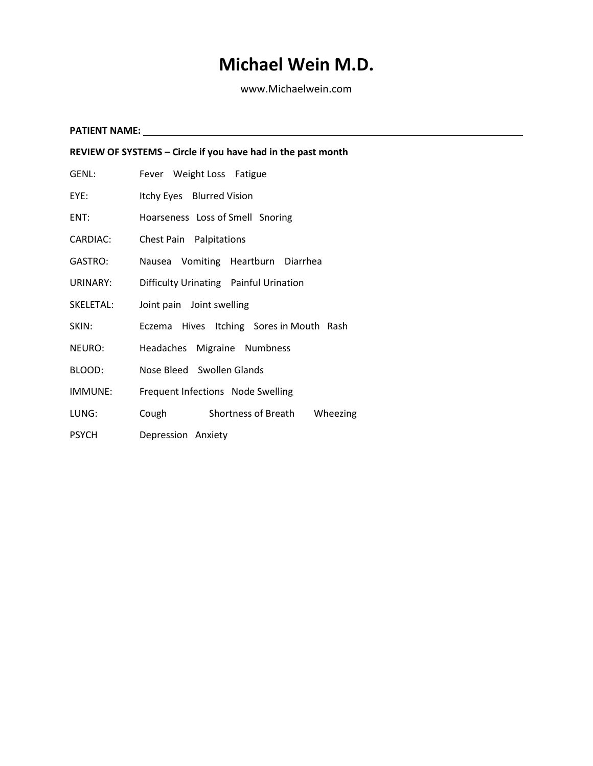[www.Michaelwein.com](http://www.michaelwein.com/)

**PATIENT NAME: REVIEW OF SYSTEMS – Circle if you have had in the past month** GENL: Fever Weight Loss Fatigue EYE: Itchy Eyes Blurred Vision ENT: Hoarseness Loss of Smell Snoring CARDIAC: Chest Pain Palpitations GASTRO: Nausea Vomiting Heartburn Diarrhea URINARY: Difficulty Urinating Painful Urination SKELETAL: Joint pain Joint swelling SKIN: Eczema Hives Itching Sores in Mouth Rash NEURO: Headaches Migraine Numbness BLOOD: Nose Bleed Swollen Glands IMMUNE: Frequent Infections Node Swelling LUNG: Cough Shortness of Breath Wheezing PSYCH Depression Anxiety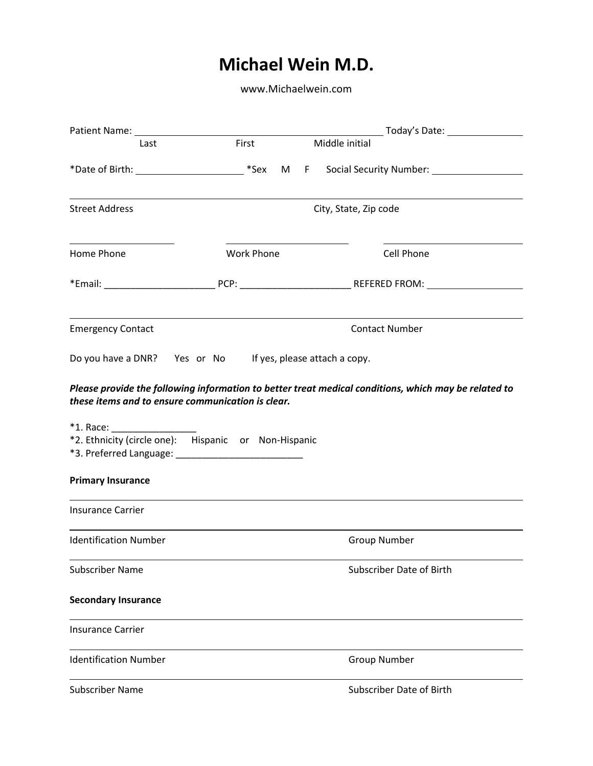[www.Michaelwein.com](http://www.michaelwein.com/)

| Patient Name: 1990 and 200 and 200 and 200 and 200 and 200 and 200 and 200 and 200 and 200 and 200 and 200 and           |                   |                                                                                                      |  |  |
|--------------------------------------------------------------------------------------------------------------------------|-------------------|------------------------------------------------------------------------------------------------------|--|--|
| Last                                                                                                                     | First             | Middle initial                                                                                       |  |  |
|                                                                                                                          |                   |                                                                                                      |  |  |
| <b>Street Address</b>                                                                                                    |                   | City, State, Zip code                                                                                |  |  |
| Home Phone                                                                                                               | <b>Work Phone</b> | Cell Phone                                                                                           |  |  |
|                                                                                                                          |                   |                                                                                                      |  |  |
| <b>Emergency Contact</b>                                                                                                 |                   | <b>Contact Number</b>                                                                                |  |  |
| Do you have a DNR? Yes or No If yes, please attach a copy.                                                               |                   |                                                                                                      |  |  |
| these items and to ensure communication is clear.<br>$*1.$ Race:<br>*2. Ethnicity (circle one): Hispanic or Non-Hispanic |                   | Please provide the following information to better treat medical conditions, which may be related to |  |  |
| <b>Primary Insurance</b>                                                                                                 |                   |                                                                                                      |  |  |
| <b>Insurance Carrier</b>                                                                                                 |                   |                                                                                                      |  |  |
| <b>Identification Number</b>                                                                                             |                   | <b>Group Number</b>                                                                                  |  |  |
| <b>Subscriber Name</b>                                                                                                   |                   | Subscriber Date of Birth                                                                             |  |  |
| <b>Secondary Insurance</b>                                                                                               |                   |                                                                                                      |  |  |
| <b>Insurance Carrier</b>                                                                                                 |                   |                                                                                                      |  |  |
| <b>Identification Number</b>                                                                                             |                   | <b>Group Number</b>                                                                                  |  |  |
| <b>Subscriber Name</b>                                                                                                   |                   | <b>Subscriber Date of Birth</b>                                                                      |  |  |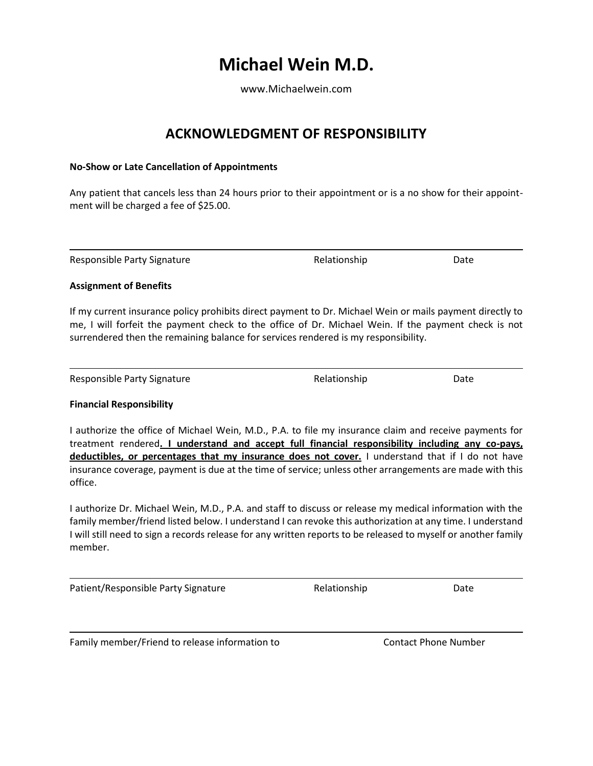[www.Michaelwein.com](http://www.michaelwein.com/)

### **ACKNOWLEDGMENT OF RESPONSIBILITY**

#### **No-Show or Late Cancellation of Appointments**

Any patient that cancels less than 24 hours prior to their appointment or is a no show for their appointment will be charged a fee of \$25.00.

Responsible Party Signature The Relationship Relationship Date

#### **Assignment of Benefits**

If my current insurance policy prohibits direct payment to Dr. Michael Wein or mails payment directly to me, I will forfeit the payment check to the office of Dr. Michael Wein. If the payment check is not surrendered then the remaining balance for services rendered is my responsibility.

Responsible Party Signature The Relationship Relationship Date

#### **Financial Responsibility**

I authorize the office of Michael Wein, M.D., P.A. to file my insurance claim and receive payments for treatment rendered**. I understand and accept full financial responsibility including any co-pays, deductibles, or percentages that my insurance does not cover.** I understand that if I do not have insurance coverage, payment is due at the time of service; unless other arrangements are made with this office.

I authorize Dr. Michael Wein, M.D., P.A. and staff to discuss or release my medical information with the family member/friend listed below. I understand I can revoke this authorization at any time. I understand I will still need to sign a records release for any written reports to be released to myself or another family member.

Patient/Responsible Party Signature The Relationship Relationship Date

Family member/Friend to release information to Contact Phone Number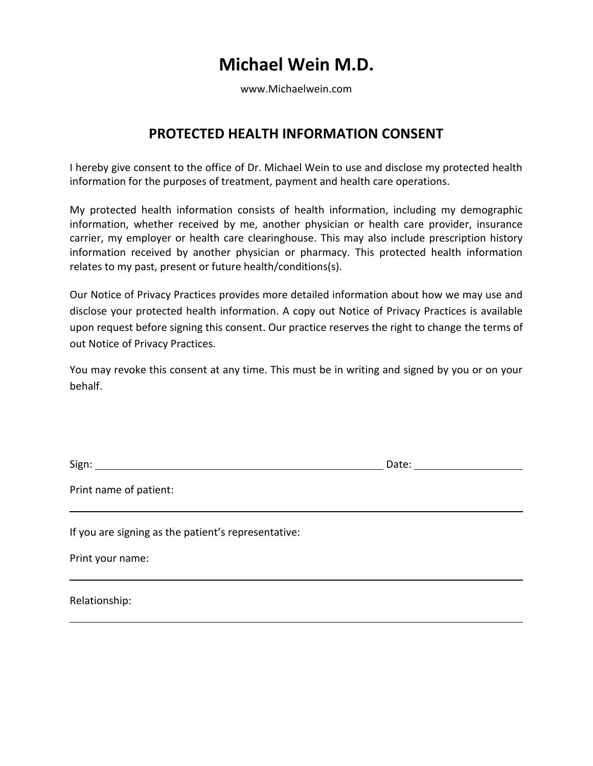[www.Michaelwein.com](http://www.michaelwein.com/)

### **PROTECTED HEALTH INFORMATION CONSENT**

I hereby give consent to the office of Dr. Michael Wein to use and disclose my protected health information for the purposes of treatment, payment and health care operations.

My protected health information consists of health information, including my demographic information, whether received by me, another physician or health care provider, insurance carrier, my employer or health care clearinghouse. This may also include prescription history information received by another physician or pharmacy. This protected health information relates to my past, present or future health/conditions(s).

Our Notice of Privacy Practices provides more detailed information about how we may use and disclose your protected health information. A copy out Notice of Privacy Practices is available upon request before signing this consent. Our practice reserves the right to change the terms of out Notice of Privacy Practices.

You may revoke this consent at any time. This must be in writing and signed by you or on your behalf.

Sign: Date:

Print name of patient:

If you are signing as the patient's representative:

Print your name:

Relationship: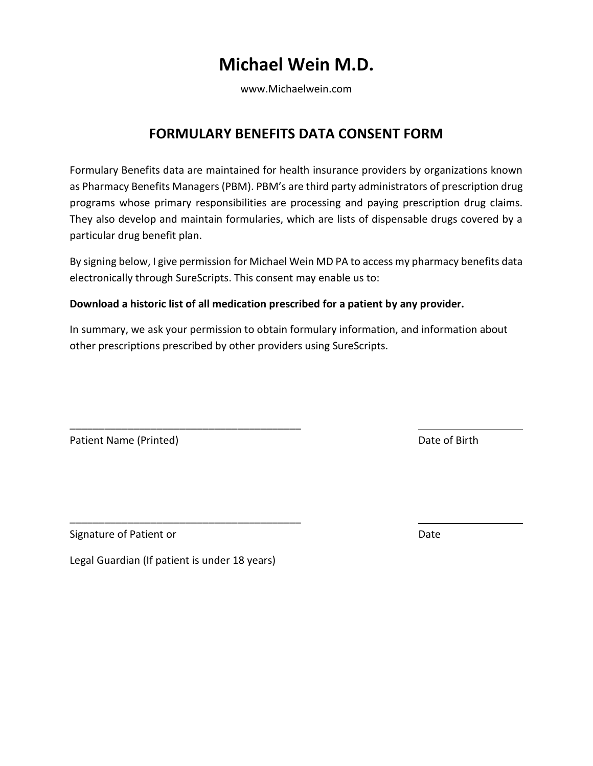[www.Michaelwein.com](http://www.michaelwein.com/)

### **FORMULARY BENEFITS DATA CONSENT FORM**

Formulary Benefits data are maintained for health insurance providers by organizations known as Pharmacy Benefits Managers (PBM). PBM's are third party administrators of prescription drug programs whose primary responsibilities are processing and paying prescription drug claims. They also develop and maintain formularies, which are lists of dispensable drugs covered by a particular drug benefit plan.

By signing below, I give permission for Michael Wein MD PA to access my pharmacy benefits data electronically through SureScripts. This consent may enable us to:

#### **Download a historic list of all medication prescribed for a patient by any provider.**

In summary, we ask your permission to obtain formulary information, and information about other prescriptions prescribed by other providers using SureScripts.

Patient Name (Printed) and Date of Birth

Signature of Patient or **Date** 

Legal Guardian (If patient is under 18 years)

\_\_\_\_\_\_\_\_\_\_\_\_\_\_\_\_\_\_\_\_\_\_\_\_\_\_\_\_\_\_\_\_\_\_\_\_\_\_\_\_

\_\_\_\_\_\_\_\_\_\_\_\_\_\_\_\_\_\_\_\_\_\_\_\_\_\_\_\_\_\_\_\_\_\_\_\_\_\_\_\_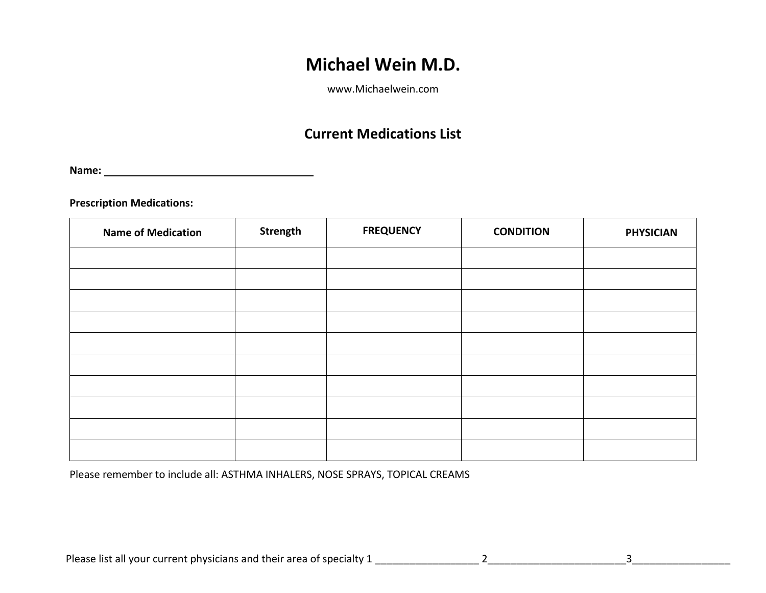[www.Michaelwein.com](http://www.michaelwein.com/)

### **Current Medications List**

**Name:**

**Prescription Medications:**

| <b>Name of Medication</b> | Strength | <b>FREQUENCY</b> | <b>CONDITION</b> | <b>PHYSICIAN</b> |
|---------------------------|----------|------------------|------------------|------------------|
|                           |          |                  |                  |                  |
|                           |          |                  |                  |                  |
|                           |          |                  |                  |                  |
|                           |          |                  |                  |                  |
|                           |          |                  |                  |                  |
|                           |          |                  |                  |                  |
|                           |          |                  |                  |                  |
|                           |          |                  |                  |                  |
|                           |          |                  |                  |                  |
|                           |          |                  |                  |                  |

Please remember to include all: ASTHMA INHALERS, NOSE SPRAYS, TOPICAL CREAMS